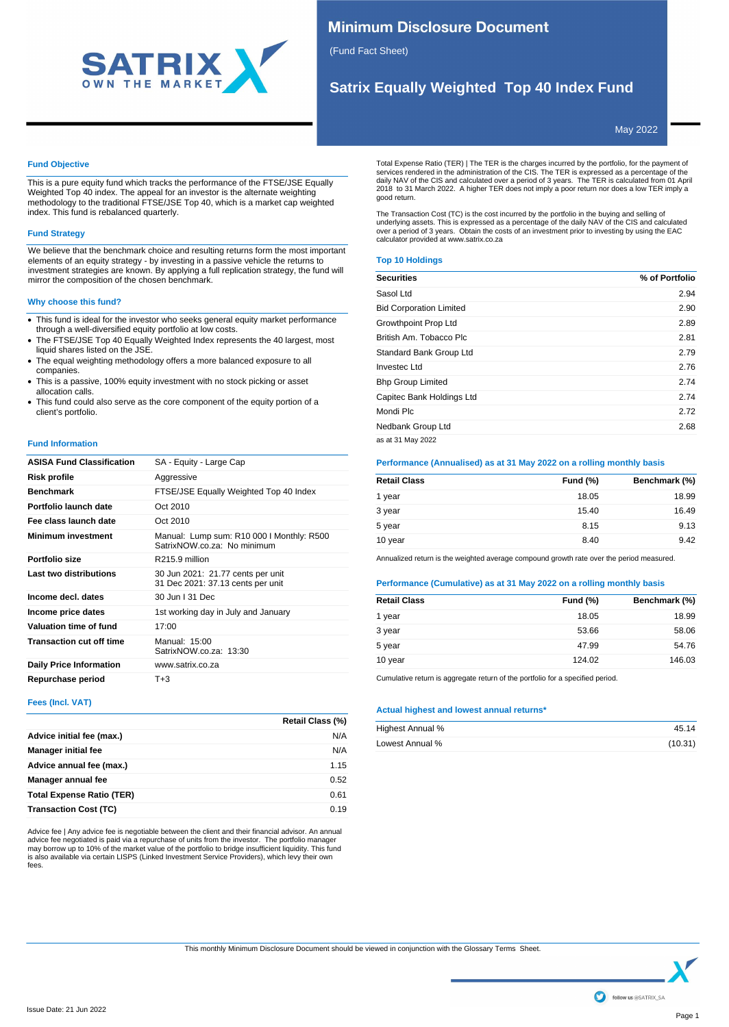

# **Minimum Disclosure Document**

(Fund Fact Sheet)

# **Satrix Equally Weighted Top 40 Index Fund**

May 2022

## **Fund Objective**

This is a pure equity fund which tracks the performance of the FTSE/JSE Equally Weighted Top 40 index. The appeal for an investor is the alternate weighting methodology to the traditional FTSE/JSE Top 40, which is a market cap weighted index. This fund is rebalanced quarterly.

# **Fund Strategy**

We believe that the benchmark choice and resulting returns form the most important elements of an equity strategy - by investing in a passive vehicle the returns to investment strategies are known. By applying a full replication strategy, the fund will mirror the composition of the chosen benchmark.

## **Why choose this fund?**

- · This fund is ideal for the investor who seeks general equity market performance through a well-diversified equity portfolio at low costs.
- The FTSE/JSE Top 40 Equally Weighted Index represents the 40 largest, most liquid shares listed on the JSE.
- · The equal weighting methodology offers a more balanced exposure to all companies.
- · This is a passive, 100% equity investment with no stock picking or asset allocation calls.
- · This fund could also serve as the core component of the equity portion of a client's portfolio.

### **Fund Information**

| <b>ASISA Fund Classification</b> | SA - Equity - Large Cap                                                  |
|----------------------------------|--------------------------------------------------------------------------|
| Risk profile                     | Aggressive                                                               |
| <b>Benchmark</b>                 | FTSE/JSE Equally Weighted Top 40 Index                                   |
| Portfolio launch date            | Oct 2010                                                                 |
| Fee class launch date            | Oct 2010                                                                 |
| <b>Minimum investment</b>        | Manual: Lump sum: R10 000 I Monthly: R500<br>SatrixNOW.co.za: No minimum |
| Portfolio size                   | R215.9 million                                                           |
| Last two distributions           | 30 Jun 2021: 21.77 cents per unit<br>31 Dec 2021: 37.13 cents per unit   |
| Income decl. dates               | 30 Jun   31 Dec                                                          |
| Income price dates               | 1st working day in July and January                                      |
| Valuation time of fund           | 17:00                                                                    |
| <b>Transaction cut off time</b>  | Manual: $15:00$<br>SatrixNOW.co.za: 13:30                                |
| <b>Daily Price Information</b>   | www.satrix.co.za                                                         |
| Repurchase period                | $T + 3$                                                                  |
|                                  |                                                                          |

# **Fees (Incl. VAT)**

|                                  | Retail Class (%) |
|----------------------------------|------------------|
| Advice initial fee (max.)        | N/A              |
| <b>Manager initial fee</b>       | N/A              |
| Advice annual fee (max.)         | 1.15             |
| Manager annual fee               | 0.52             |
| <b>Total Expense Ratio (TER)</b> | 0.61             |
| <b>Transaction Cost (TC)</b>     | 0.19             |

Advice fee | Any advice fee is negotiable between the client and their financial advisor. An annual advice fee negotiated is paid via a repurchase of units from the investor. The portfolio manager<br>may borrow up to 10% of the market value of the portfolio to bridge insufficient liquidity. This fund<br>is also available via fees.

Total Expense Ratio (TER) | The TER is the charges incurred by the portfolio, for the payment of<br>services rendered in the administration of the CIS. The TER is expressed as a percentage of the<br>daily NAV of the CIS and calc good return.

The Transaction Cost (TC) is the cost incurred by the portfolio in the buying and selling of underlying assets. This is expressed as a percentage of the daily NAV of the CIS and calculated over a period of 3 years. Obtain the costs of an investment prior to investing by using the EAC calculator provided at www.satrix.co.za

## **Top 10 Holdings**

| <b>Securities</b>              | % of Portfolio |
|--------------------------------|----------------|
| Sasol Ltd                      | 2.94           |
| <b>Bid Corporation Limited</b> | 2.90           |
| Growthpoint Prop Ltd           | 2.89           |
| British Am. Tobacco Plc        | 2.81           |
| Standard Bank Group Ltd        | 2.79           |
| Investec Ltd                   | 2.76           |
| <b>Bhp Group Limited</b>       | 2.74           |
| Capitec Bank Holdings Ltd      | 2.74           |
| Mondi Plc                      | 2.72           |
| Nedbank Group Ltd              | 2.68           |
| as at 31 May 2022              |                |

### **Performance (Annualised) as at 31 May 2022 on a rolling monthly basis**

| <b>Retail Class</b> | <b>Fund (%)</b> | Benchmark (%) |
|---------------------|-----------------|---------------|
| 1 year              | 18.05           | 18.99         |
| 3 year              | 15.40           | 16.49         |
| 5 year              | 8.15            | 9.13          |
| 10 year             | 8.40            | 9.42          |

Annualized return is the weighted average compound growth rate over the period measured.

# **Performance (Cumulative) as at 31 May 2022 on a rolling monthly basis**

| <b>Fund (%)</b> | Benchmark (%) |
|-----------------|---------------|
| 18.05           | 18.99         |
| 53.66           | 58.06         |
| 47.99           | 54.76         |
| 124.02          | 146.03        |
|                 |               |

Cumulative return is aggregate return of the portfolio for a specified period.

### **Actual highest and lowest annual returns\***

| Highest Annual % | 45.14   |
|------------------|---------|
| Lowest Annual %  | (10.31) |

This monthly Minimum Disclosure Document should be viewed in conjunction with the Glossary Terms Sheet.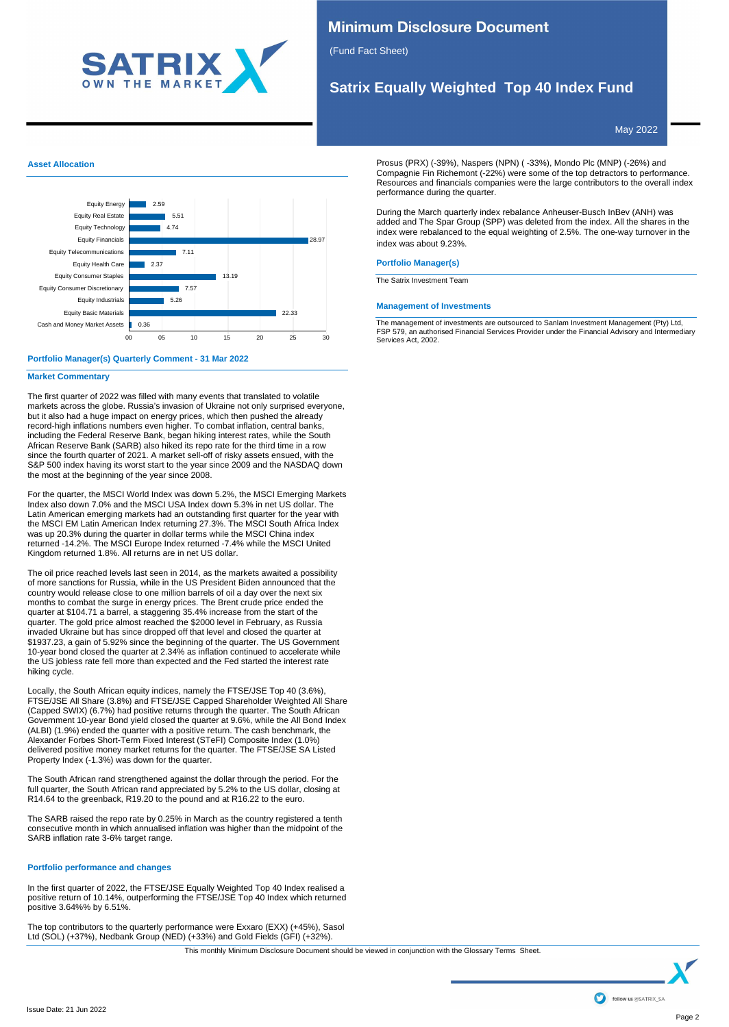

# **Minimum Disclosure Document**

(Fund Fact Sheet)

# **Satrix Equally Weighted Top 40 Index Fund**

May 2022

## **Asset Allocation**



## **Portfolio Manager(s) Quarterly Comment - 31 Mar 2022**

## **Market Commentary**

The first quarter of 2022 was filled with many events that translated to volatile markets across the globe. Russia's invasion of Ukraine not only surprised everyone, but it also had a huge impact on energy prices, which then pushed the already record-high inflations numbers even higher. To combat inflation, central banks, including the Federal Reserve Bank, began hiking interest rates, while the South African Reserve Bank (SARB) also hiked its repo rate for the third time in a row since the fourth quarter of 2021. A market sell-off of risky assets ensued, with the S&P 500 index having its worst start to the year since 2009 and the NASDAQ down the most at the beginning of the year since 2008.

For the quarter, the MSCI World Index was down 5.2%, the MSCI Emerging Markets Index also down 7.0% and the MSCI USA Index down 5.3% in net US dollar. The Latin American emerging markets had an outstanding first quarter for the year with the MSCI EM Latin American Index returning 27.3%. The MSCI South Africa Index was up 20.3% during the quarter in dollar terms while the MSCI China index returned -14.2%. The MSCI Europe Index returned -7.4% while the MSCI United Kingdom returned 1.8%. All returns are in net US dollar.

The oil price reached levels last seen in 2014, as the markets awaited a possibility of more sanctions for Russia, while in the US President Biden announced that the country would release close to one million barrels of oil a day over the next six months to combat the surge in energy prices. The Brent crude price ended the quarter at \$104.71 a barrel, a staggering 35.4% increase from the start of the quarter. The gold price almost reached the \$2000 level in February, as Russia invaded Ukraine but has since dropped off that level and closed the quarter at \$1937.23, a gain of 5.92% since the beginning of the quarter. The US Government 10-year bond closed the quarter at 2.34% as inflation continued to accelerate while the US jobless rate fell more than expected and the Fed started the interest rate hiking cycle.

Locally, the South African equity indices, namely the FTSE/JSE Top 40 (3.6%), FTSE/JSE All Share (3.8%) and FTSE/JSE Capped Shareholder Weighted All Share (Capped SWIX) (6.7%) had positive returns through the quarter. The South African Government 10-year Bond yield closed the quarter at 9.6%, while the All Bond Index (ALBI) (1.9%) ended the quarter with a positive return. The cash benchmark, the Alexander Forbes Short-Term Fixed Interest (STeFI) Composite Index (1.0%) delivered positive money market returns for the quarter. The FTSE/JSE SA Listed Property Index (-1.3%) was down for the quarter.

The South African rand strengthened against the dollar through the period. For the full quarter, the South African rand appreciated by 5.2% to the US dollar, closing at R14.64 to the greenback, R19.20 to the pound and at R16.22 to the euro.

The SARB raised the repo rate by 0.25% in March as the country registered a tenth consecutive month in which annualised inflation was higher than the midpoint of the SARB inflation rate 3-6% target range.

## **Portfolio performance and changes**

In the first quarter of 2022, the FTSE/JSE Equally Weighted Top 40 Index realised a positive return of 10.14%, outperforming the FTSE/JSE Top 40 Index which returned positive 3.64%% by 6.51%.

The top contributors to the quarterly performance were Exxaro (EXX) (+45%), Sasol Ltd (SOL) (+37%), Nedbank Group (NED) (+33%) and Gold Fields (GFI) (+32%).

Prosus (PRX) (-39%), Naspers (NPN) ( -33%), Mondo Plc (MNP) (-26%) and Compagnie Fin Richemont (-22%) were some of the top detractors to performance. Resources and financials companies were the large contributors to the overall index performance during the quarter.

During the March quarterly index rebalance Anheuser-Busch InBev (ANH) was added and The Spar Group (SPP) was deleted from the index. All the shares in the index were rebalanced to the equal weighting of 2.5%. The one-way turnover in the index was about 9.23%.

## **Portfolio Manager(s)**

The Satrix Investment Team

### **Management of Investments**

The management of investments are outsourced to Sanlam Investment Management (Pty) Ltd, FSP 579, an authorised Financial Services Provider under the Financial Advisory and Intermediary Services Act, 2002.

This monthly Minimum Disclosure Document should be viewed in conjunction with the Glossary Terms Sheet.